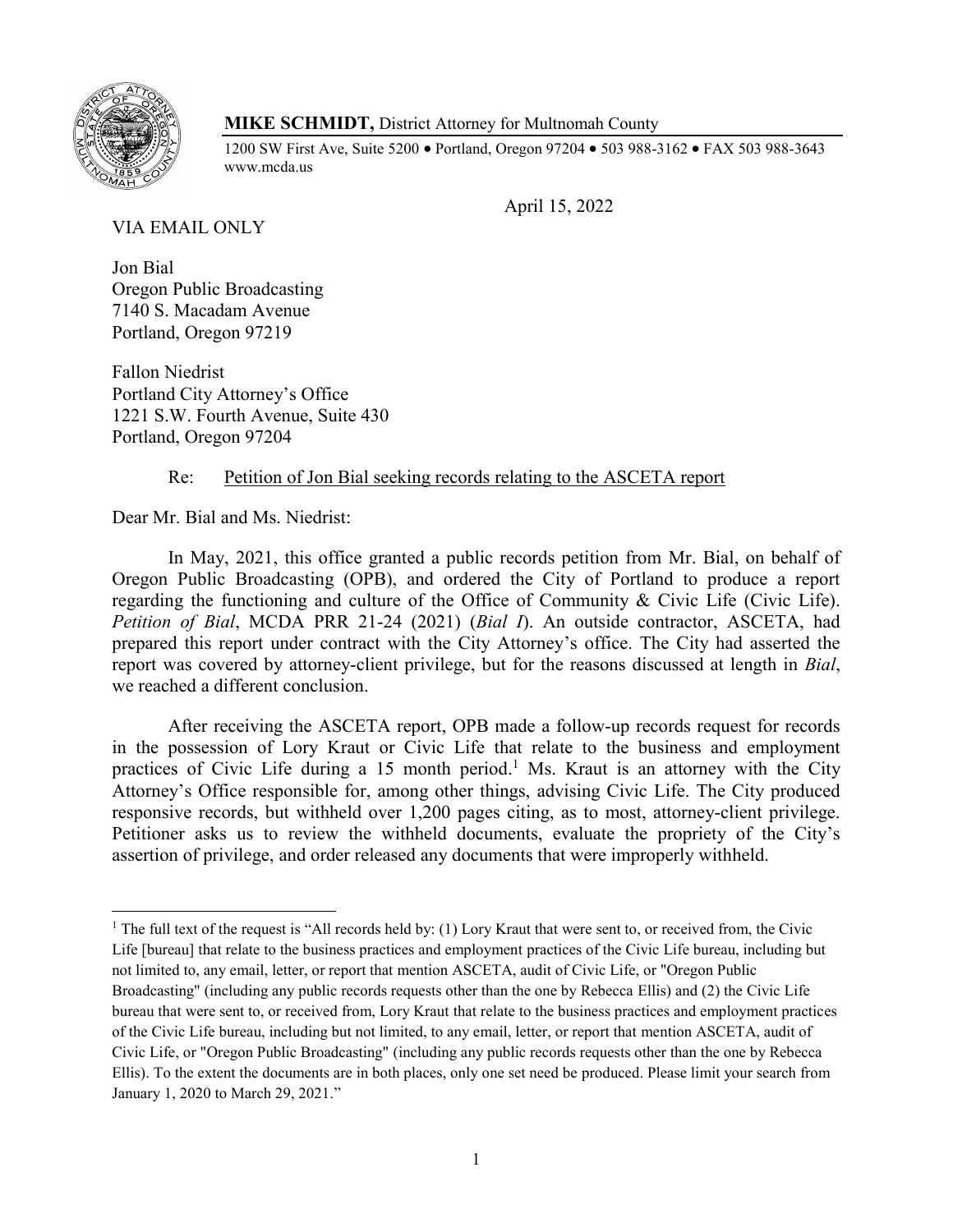

# **MIKE SCHMIDT,** District Attorney for Multnomah County

1200 SW First Ave, Suite 5200 • Portland, Oregon 97204 • 503 988-3162 • FAX 503 988-3643 www.mcda.us

April 15, 2022

VIA EMAIL ONLY

Jon Bial Oregon Public Broadcasting 7140 S. Macadam Avenue Portland, Oregon 97219

Fallon Niedrist Portland City Attorney's Office 1221 S.W. Fourth Avenue, Suite 430 Portland, Oregon 97204

# Re: Petition of Jon Bial seeking records relating to the ASCETA report

Dear Mr. Bial and Ms. Niedrist:

In May, 2021, this office granted a public records petition from Mr. Bial, on behalf of Oregon Public Broadcasting (OPB), and ordered the City of Portland to produce a report regarding the functioning and culture of the Office of Community & Civic Life (Civic Life). *Petition of Bial*, MCDA PRR 21-24 (2021) (*Bial I*). An outside contractor, ASCETA, had prepared this report under contract with the City Attorney's office. The City had asserted the report was covered by attorney-client privilege, but for the reasons discussed at length in *Bial*, we reached a different conclusion.

After receiving the ASCETA report, OPB made a follow-up records request for records in the possession of Lory Kraut or Civic Life that relate to the business and employment practices of Civic Life during a 15 month period.<sup>1</sup> Ms. Kraut is an attorney with the City Attorney's Office responsible for, among other things, advising Civic Life. The City produced responsive records, but withheld over 1,200 pages citing, as to most, attorney-client privilege. Petitioner asks us to review the withheld documents, evaluate the propriety of the City's assertion of privilege, and order released any documents that were improperly withheld.

<sup>&</sup>lt;sup>1</sup> The full text of the request is "All records held by: (1) Lory Kraut that were sent to, or received from, the Civic Life [bureau] that relate to the business practices and employment practices of the Civic Life bureau, including but not limited to, any email, letter, or report that mention ASCETA, audit of Civic Life, or "Oregon Public Broadcasting" (including any public records requests other than the one by Rebecca Ellis) and (2) the Civic Life bureau that were sent to, or received from, Lory Kraut that relate to the business practices and employment practices of the Civic Life bureau, including but not limited, to any email, letter, or report that mention ASCETA, audit of Civic Life, or "Oregon Public Broadcasting" (including any public records requests other than the one by Rebecca Ellis). To the extent the documents are in both places, only one set need be produced. Please limit your search from January 1, 2020 to March 29, 2021.´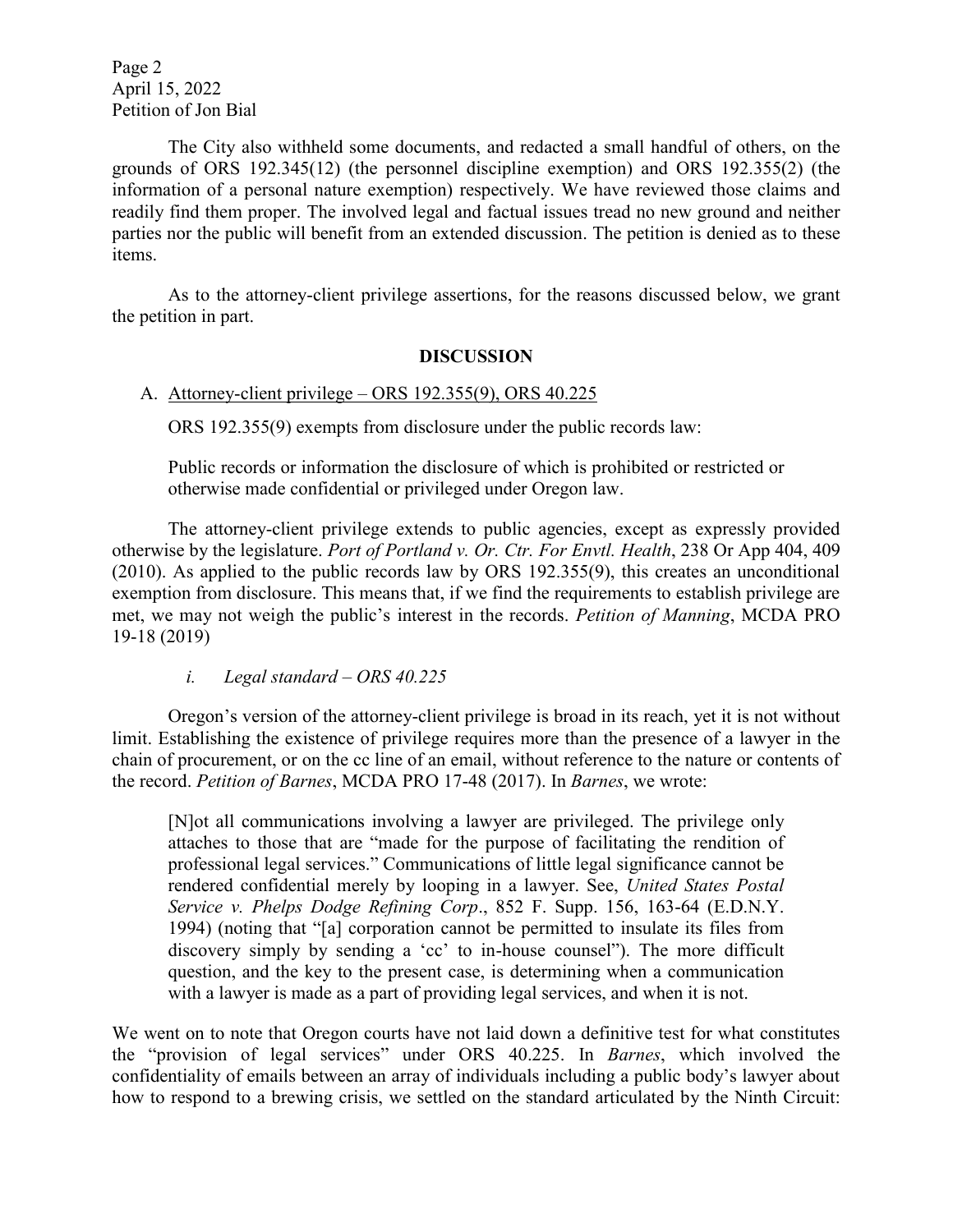Page 2 April 15, 2022 Petition of Jon Bial

The City also withheld some documents, and redacted a small handful of others, on the grounds of ORS 192.345(12) (the personnel discipline exemption) and ORS 192.355(2) (the information of a personal nature exemption) respectively. We have reviewed those claims and readily find them proper. The involved legal and factual issues tread no new ground and neither parties nor the public will benefit from an extended discussion. The petition is denied as to these items.

As to the attorney-client privilege assertions, for the reasons discussed below, we grant the petition in part.

#### **DISCUSSION**

#### A. Attorney-client privilege  $-$  ORS 192.355(9), ORS 40.225

ORS 192.355(9) exempts from disclosure under the public records law:

Public records or information the disclosure of which is prohibited or restricted or otherwise made confidential or privileged under Oregon law.

The attorney-client privilege extends to public agencies, except as expressly provided otherwise by the legislature. *Port of Portland v. Or. Ctr. For Envtl. Health*, 238 Or App 404, 409 (2010). As applied to the public records law by ORS 192.355(9), this creates an unconditional exemption from disclosure. This means that, if we find the requirements to establish privilege are met, we may not weigh the public's interest in the records. *Petition of Manning*, MCDA PRO 19-18 (2019)

*i. Legal standard*  $-$  *ORS* 40.225

Oregon's version of the attorney-client privilege is broad in its reach, yet it is not without limit. Establishing the existence of privilege requires more than the presence of a lawyer in the chain of procurement, or on the cc line of an email, without reference to the nature or contents of the record. *Petition of Barnes*, MCDA PRO 17-48 (2017). In *Barnes*, we wrote:

[N]ot all communications involving a lawyer are privileged. The privilege only attaches to those that are "made for the purpose of facilitating the rendition of professional legal services." Communications of little legal significance cannot be rendered confidential merely by looping in a lawyer. See, *United States Postal Service v. Phelps Dodge Refining Corp*., 852 F. Supp. 156, 163-64 (E.D.N.Y. 1994) (noting that "[a] corporation cannot be permitted to insulate its files from discovery simply by sending a 'cc' to in-house counsel"). The more difficult question, and the key to the present case, is determining when a communication with a lawyer is made as a part of providing legal services, and when it is not.

We went on to note that Oregon courts have not laid down a definitive test for what constitutes the "provision of legal services" under ORS 40.225. In *Barnes*, which involved the confidentiality of emails between an array of individuals including a public body's lawyer about how to respond to a brewing crisis, we settled on the standard articulated by the Ninth Circuit: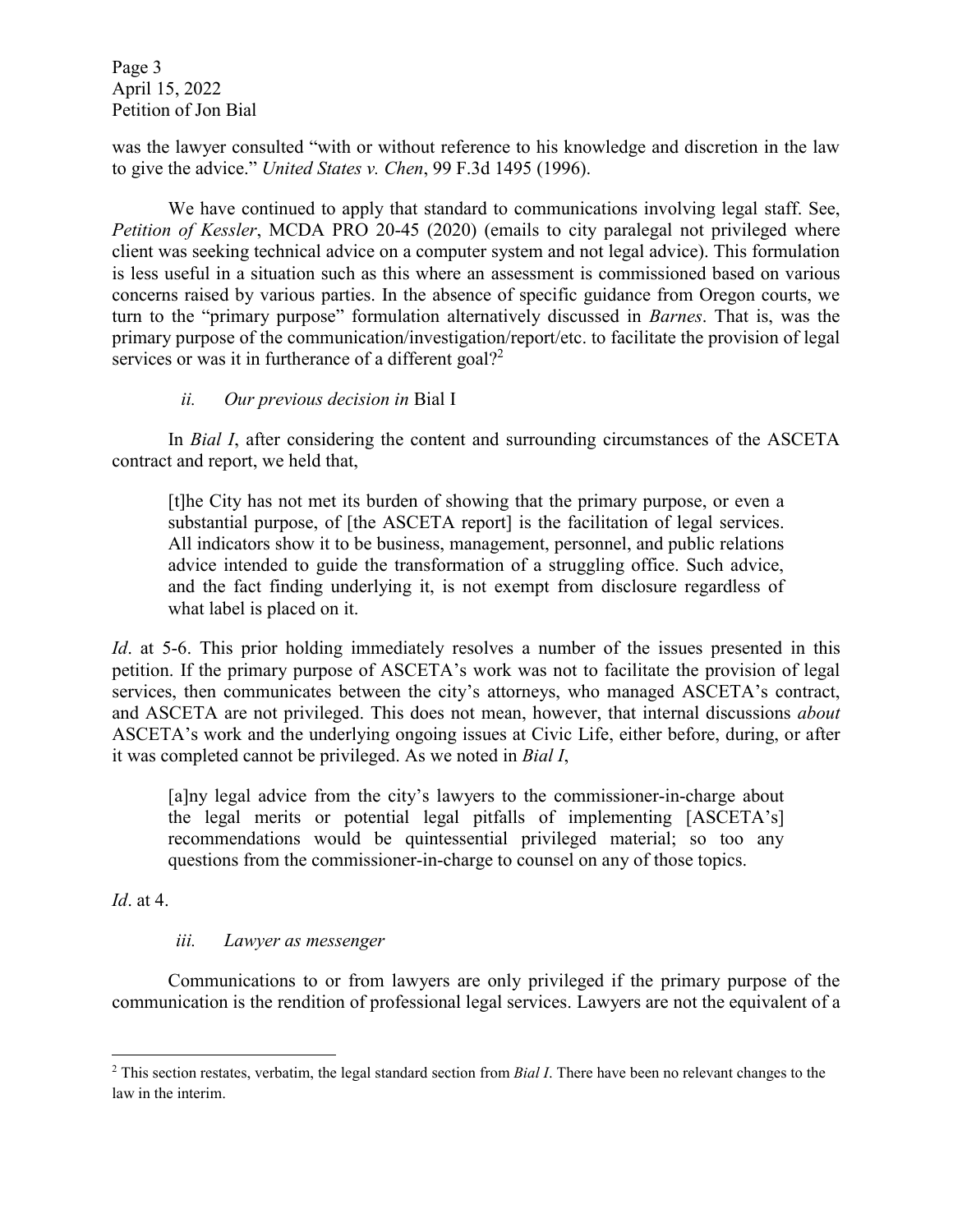Page 3 April 15, 2022 Petition of Jon Bial

was the lawyer consulted "with or without reference to his knowledge and discretion in the law to give the advice." United States v. Chen, 99 F.3d 1495 (1996).

We have continued to apply that standard to communications involving legal staff. See, *Petition of Kessler*, MCDA PRO 20-45 (2020) (emails to city paralegal not privileged where client was seeking technical advice on a computer system and not legal advice). This formulation is less useful in a situation such as this where an assessment is commissioned based on various concerns raised by various parties. In the absence of specific guidance from Oregon courts, we turn to the "primary purpose" formulation alternatively discussed in *Barnes*. That is, was the primary purpose of the communication/investigation/report/etc. to facilitate the provision of legal services or was it in furtherance of a different goal?<sup>2</sup>

# *ii. Our previous decision in* Bial I

In *Bial I*, after considering the content and surrounding circumstances of the ASCETA contract and report, we held that,

[t]he City has not met its burden of showing that the primary purpose, or even a substantial purpose, of [the ASCETA report] is the facilitation of legal services. All indicators show it to be business, management, personnel, and public relations advice intended to guide the transformation of a struggling office. Such advice, and the fact finding underlying it, is not exempt from disclosure regardless of what label is placed on it.

*Id.* at 5-6. This prior holding immediately resolves a number of the issues presented in this petition. If the primary purpose of ASCETA's work was not to facilitate the provision of legal services, then communicates between the city's attorneys, who managed ASCETA's contract, and ASCETA are not privileged. This does not mean, however, that internal discussions *about* ASCETA's work and the underlying ongoing issues at Civic Life, either before, during, or after it was completed cannot be privileged. As we noted in *Bial I*,

[a]ny legal advice from the city's lawyers to the commissioner-in-charge about the legal merits or potential legal pitfalls of implementing [ASCETA's] recommendations would be quintessential privileged material; so too any questions from the commissioner-in-charge to counsel on any of those topics.

*Id*. at 4.

l

# *iii. Lawyer as messenger*

Communications to or from lawyers are only privileged if the primary purpose of the communication is the rendition of professional legal services. Lawyers are not the equivalent of a

<sup>2</sup> This section restates, verbatim, the legal standard section from *Bial I*. There have been no relevant changes to the law in the interim.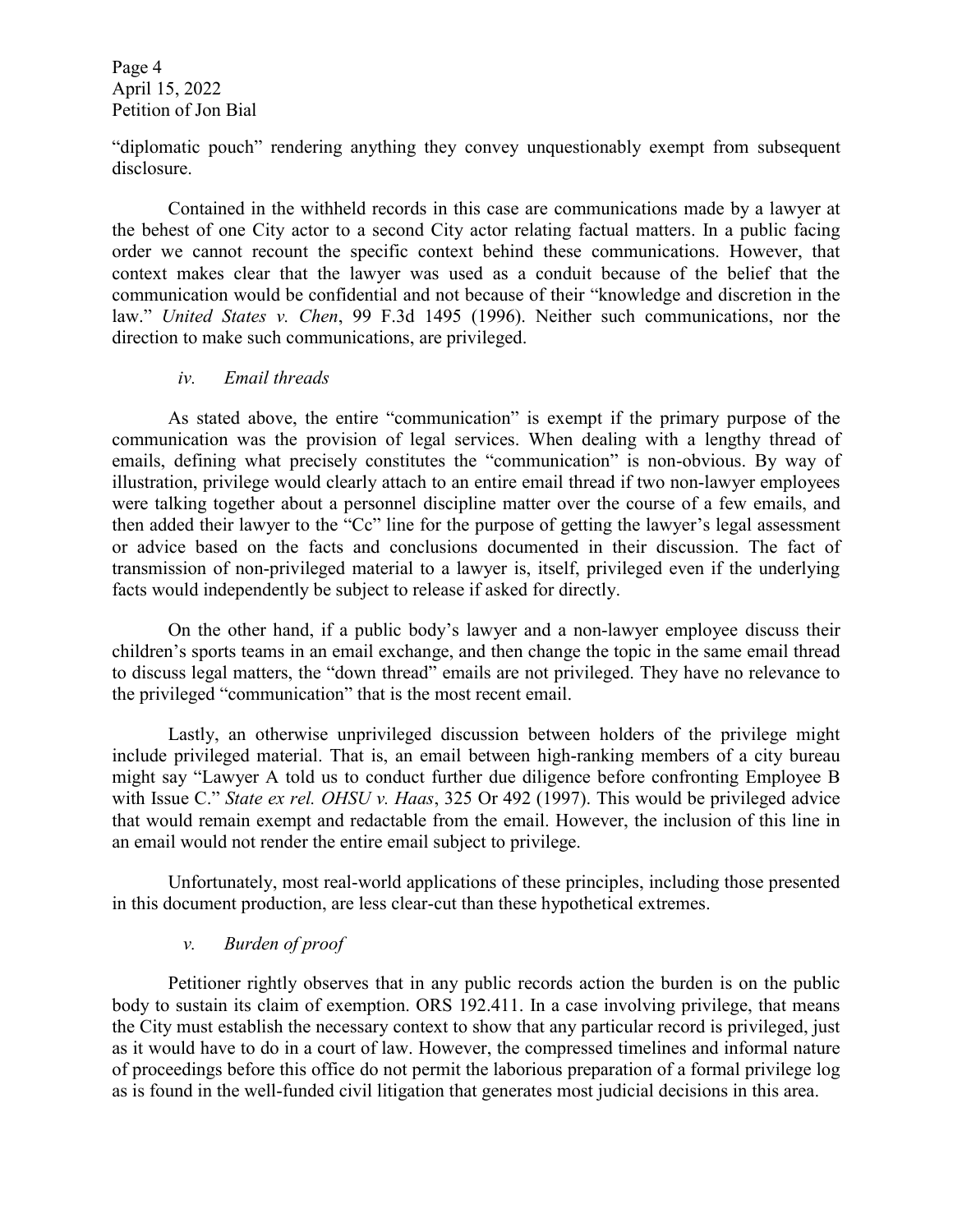Page 4 April 15, 2022 Petition of Jon Bial

"diplomatic pouch" rendering anything they convey unquestionably exempt from subsequent disclosure.

Contained in the withheld records in this case are communications made by a lawyer at the behest of one City actor to a second City actor relating factual matters. In a public facing order we cannot recount the specific context behind these communications. However, that context makes clear that the lawyer was used as a conduit because of the belief that the communication would be confidential and not because of their "knowledge and discretion in the law.´ *United States v. Chen*, 99 F.3d 1495 (1996). Neither such communications, nor the direction to make such communications, are privileged.

#### *iv. Email threads*

As stated above, the entire "communication" is exempt if the primary purpose of the communication was the provision of legal services. When dealing with a lengthy thread of emails, defining what precisely constitutes the "communication" is non-obvious. By way of illustration, privilege would clearly attach to an entire email thread if two non-lawyer employees were talking together about a personnel discipline matter over the course of a few emails, and then added their lawyer to the "Cc" line for the purpose of getting the lawyer's legal assessment or advice based on the facts and conclusions documented in their discussion. The fact of transmission of non-privileged material to a lawyer is, itself, privileged even if the underlying facts would independently be subject to release if asked for directly.

On the other hand, if a public body's lawyer and a non-lawyer employee discuss their children's sports teams in an email exchange, and then change the topic in the same email thread to discuss legal matters, the "down thread" emails are not privileged. They have no relevance to the privileged "communication" that is the most recent email.

Lastly, an otherwise unprivileged discussion between holders of the privilege might include privileged material. That is, an email between high-ranking members of a city bureau might say "Lawyer A told us to conduct further due diligence before confronting Employee B with Issue C." *State ex rel. OHSU v. Haas*, 325 Or 492 (1997). This would be privileged advice that would remain exempt and redactable from the email. However, the inclusion of this line in an email would not render the entire email subject to privilege.

Unfortunately, most real-world applications of these principles, including those presented in this document production, are less clear-cut than these hypothetical extremes.

### *v. Burden of proof*

Petitioner rightly observes that in any public records action the burden is on the public body to sustain its claim of exemption. ORS 192.411. In a case involving privilege, that means the City must establish the necessary context to show that any particular record is privileged, just as it would have to do in a court of law. However, the compressed timelines and informal nature of proceedings before this office do not permit the laborious preparation of a formal privilege log as is found in the well-funded civil litigation that generates most judicial decisions in this area.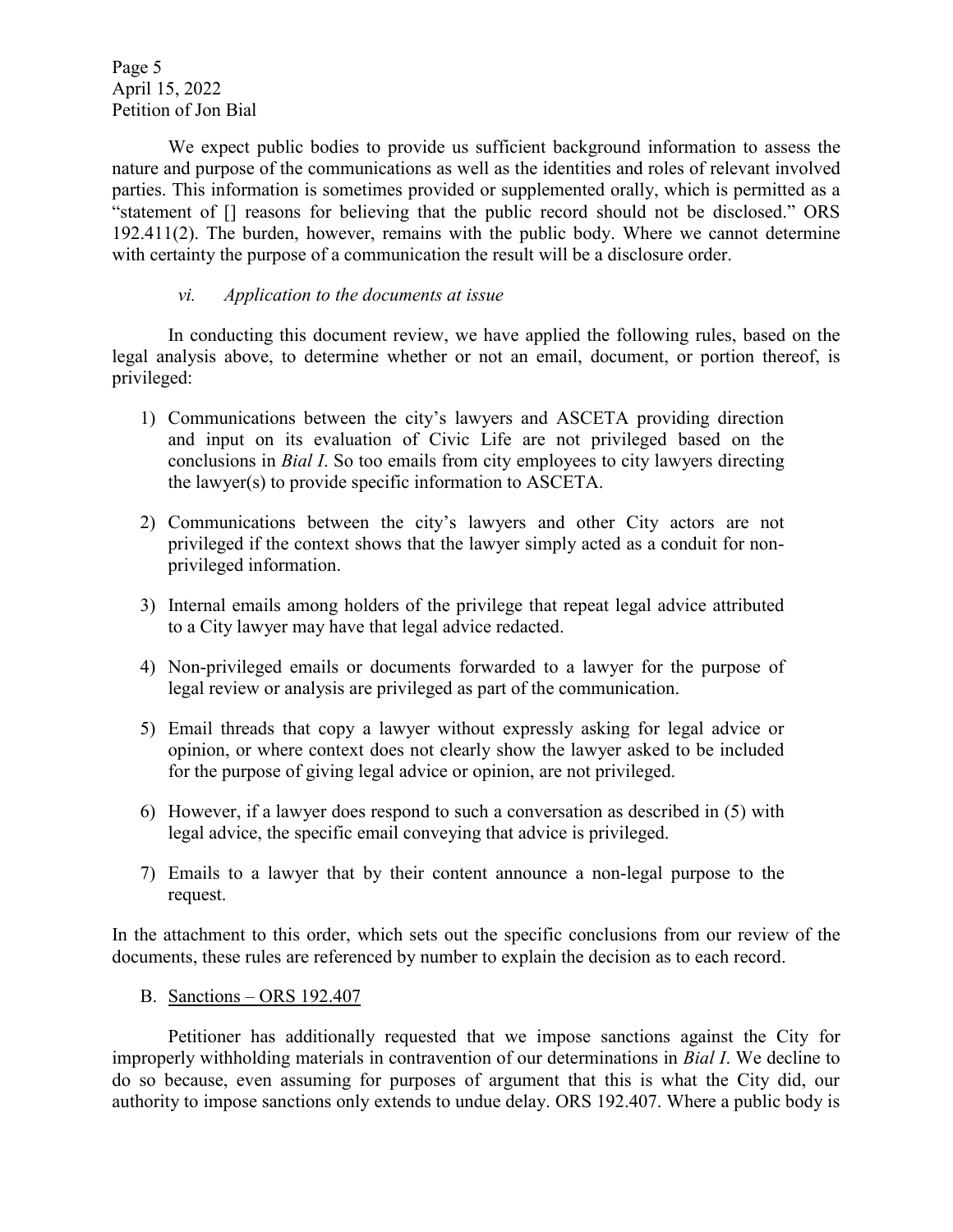Page 5 April 15, 2022 Petition of Jon Bial

We expect public bodies to provide us sufficient background information to assess the nature and purpose of the communications as well as the identities and roles of relevant involved parties. This information is sometimes provided or supplemented orally, which is permitted as a "statement of  $\Box$  reasons for believing that the public record should not be disclosed." ORS 192.411(2). The burden, however, remains with the public body. Where we cannot determine with certainty the purpose of a communication the result will be a disclosure order.

### *vi. Application to the documents at issue*

In conducting this document review, we have applied the following rules, based on the legal analysis above, to determine whether or not an email, document, or portion thereof, is privileged:

- 1) Communications between the city's lawyers and ASCETA providing direction and input on its evaluation of Civic Life are not privileged based on the conclusions in *Bial I*. So too emails from city employees to city lawyers directing the lawyer(s) to provide specific information to ASCETA.
- 2) Communications between the city's lawyers and other City actors are not privileged if the context shows that the lawyer simply acted as a conduit for nonprivileged information.
- 3) Internal emails among holders of the privilege that repeat legal advice attributed to a City lawyer may have that legal advice redacted.
- 4) Non-privileged emails or documents forwarded to a lawyer for the purpose of legal review or analysis are privileged as part of the communication.
- 5) Email threads that copy a lawyer without expressly asking for legal advice or opinion, or where context does not clearly show the lawyer asked to be included for the purpose of giving legal advice or opinion, are not privileged.
- 6) However, if a lawyer does respond to such a conversation as described in (5) with legal advice, the specific email conveying that advice is privileged.
- 7) Emails to a lawyer that by their content announce a non-legal purpose to the request.

In the attachment to this order, which sets out the specific conclusions from our review of the documents, these rules are referenced by number to explain the decision as to each record.

B. Sanctions  $-$  ORS 192.407

Petitioner has additionally requested that we impose sanctions against the City for improperly withholding materials in contravention of our determinations in *Bial I*. We decline to do so because, even assuming for purposes of argument that this is what the City did, our authority to impose sanctions only extends to undue delay. ORS 192.407. Where a public body is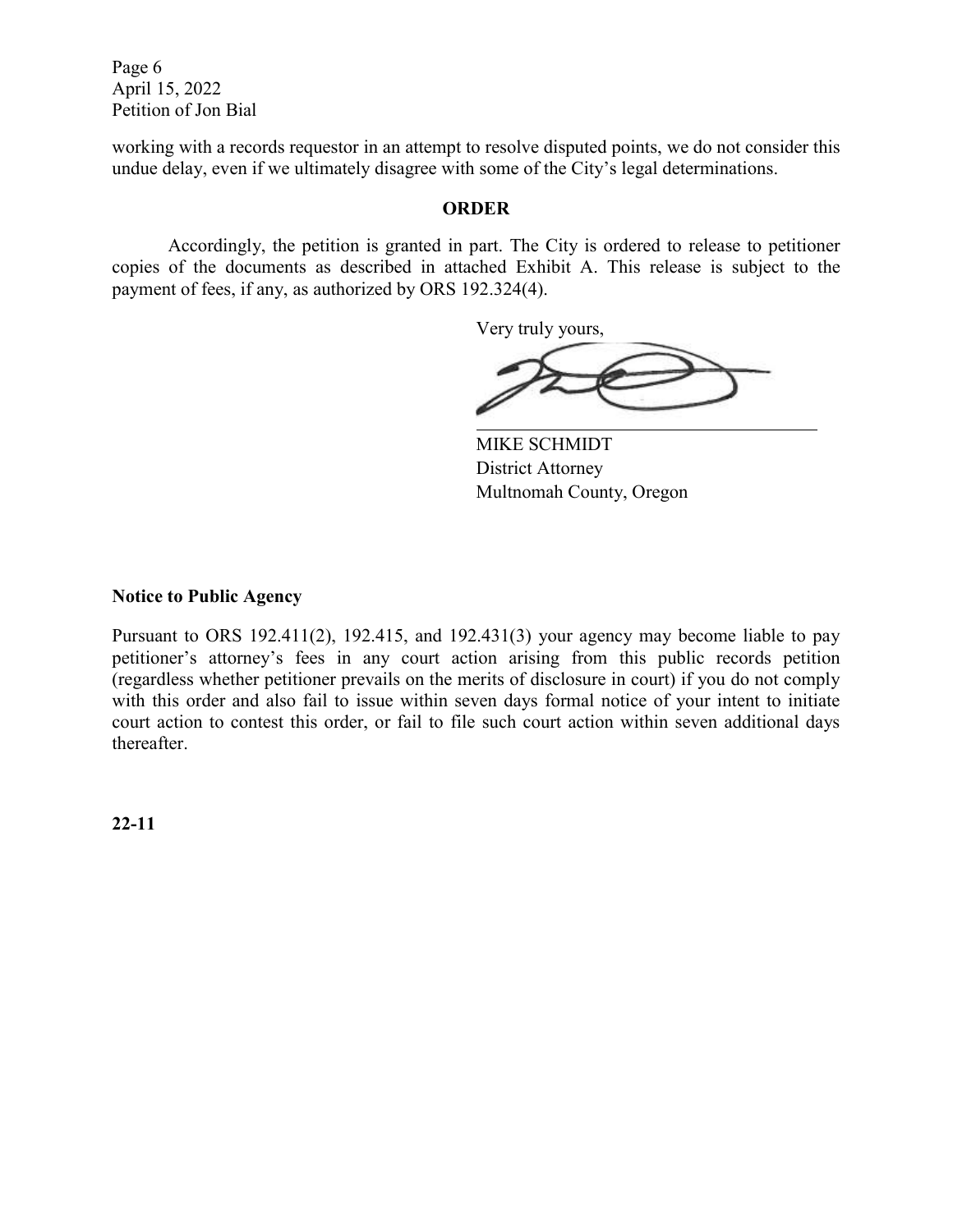Page 6 April 15, 2022 Petition of Jon Bial

working with a records requestor in an attempt to resolve disputed points, we do not consider this undue delay, even if we ultimately disagree with some of the City's legal determinations.

#### **ORDER**

Accordingly, the petition is granted in part. The City is ordered to release to petitioner copies of the documents as described in attached Exhibit A. This release is subject to the payment of fees, if any, as authorized by ORS 192.324(4).

Very truly yours,

MIKE SCHMIDT District Attorney Multnomah County, Oregon

#### **Notice to Public Agency**

Pursuant to ORS 192.411(2), 192.415, and 192.431(3) your agency may become liable to pay petitioner's attorney's fees in any court action arising from this public records petition (regardless whether petitioner prevails on the merits of disclosure in court) if you do not comply with this order and also fail to issue within seven days formal notice of your intent to initiate court action to contest this order, or fail to file such court action within seven additional days thereafter.

**22-11**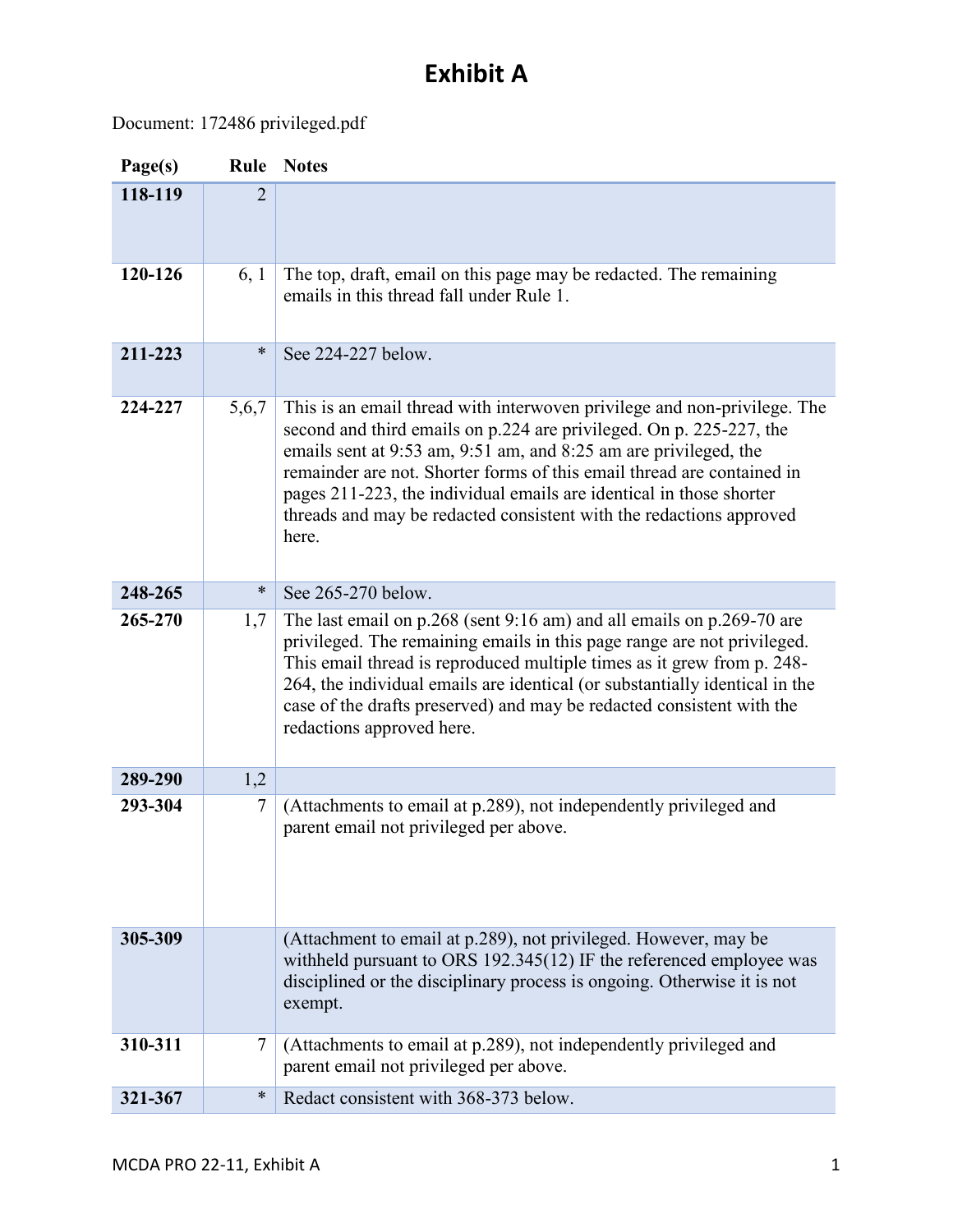# **Exhibit A**

# Document: 172486 privileged.pdf

| Page(s) | Rule           | <b>Notes</b>                                                                                                                                                                                                                                                                                                                                                                                                                                         |
|---------|----------------|------------------------------------------------------------------------------------------------------------------------------------------------------------------------------------------------------------------------------------------------------------------------------------------------------------------------------------------------------------------------------------------------------------------------------------------------------|
| 118-119 | $\overline{2}$ |                                                                                                                                                                                                                                                                                                                                                                                                                                                      |
|         |                |                                                                                                                                                                                                                                                                                                                                                                                                                                                      |
| 120-126 | 6, 1           | The top, draft, email on this page may be redacted. The remaining<br>emails in this thread fall under Rule 1.                                                                                                                                                                                                                                                                                                                                        |
| 211-223 | ∗              | See 224-227 below.                                                                                                                                                                                                                                                                                                                                                                                                                                   |
| 224-227 | 5,6,7          | This is an email thread with interwoven privilege and non-privilege. The<br>second and third emails on p.224 are privileged. On p. 225-227, the<br>emails sent at 9:53 am, 9:51 am, and 8:25 am are privileged, the<br>remainder are not. Shorter forms of this email thread are contained in<br>pages 211-223, the individual emails are identical in those shorter<br>threads and may be redacted consistent with the redactions approved<br>here. |
| 248-265 | $\ast$         | See 265-270 below.                                                                                                                                                                                                                                                                                                                                                                                                                                   |
| 265-270 | 1,7            | The last email on p.268 (sent 9:16 am) and all emails on p.269-70 are<br>privileged. The remaining emails in this page range are not privileged.<br>This email thread is reproduced multiple times as it grew from p. 248-<br>264, the individual emails are identical (or substantially identical in the<br>case of the drafts preserved) and may be redacted consistent with the<br>redactions approved here.                                      |
| 289-290 | 1,2            |                                                                                                                                                                                                                                                                                                                                                                                                                                                      |
| 293-304 | 7              | (Attachments to email at p.289), not independently privileged and<br>parent email not privileged per above.                                                                                                                                                                                                                                                                                                                                          |
| 305-309 |                | (Attachment to email at p.289), not privileged. However, may be<br>withheld pursuant to ORS 192.345(12) IF the referenced employee was<br>disciplined or the disciplinary process is ongoing. Otherwise it is not<br>exempt.                                                                                                                                                                                                                         |
| 310-311 | 7              | (Attachments to email at p.289), not independently privileged and<br>parent email not privileged per above.                                                                                                                                                                                                                                                                                                                                          |
| 321-367 | $\ast$         | Redact consistent with 368-373 below.                                                                                                                                                                                                                                                                                                                                                                                                                |